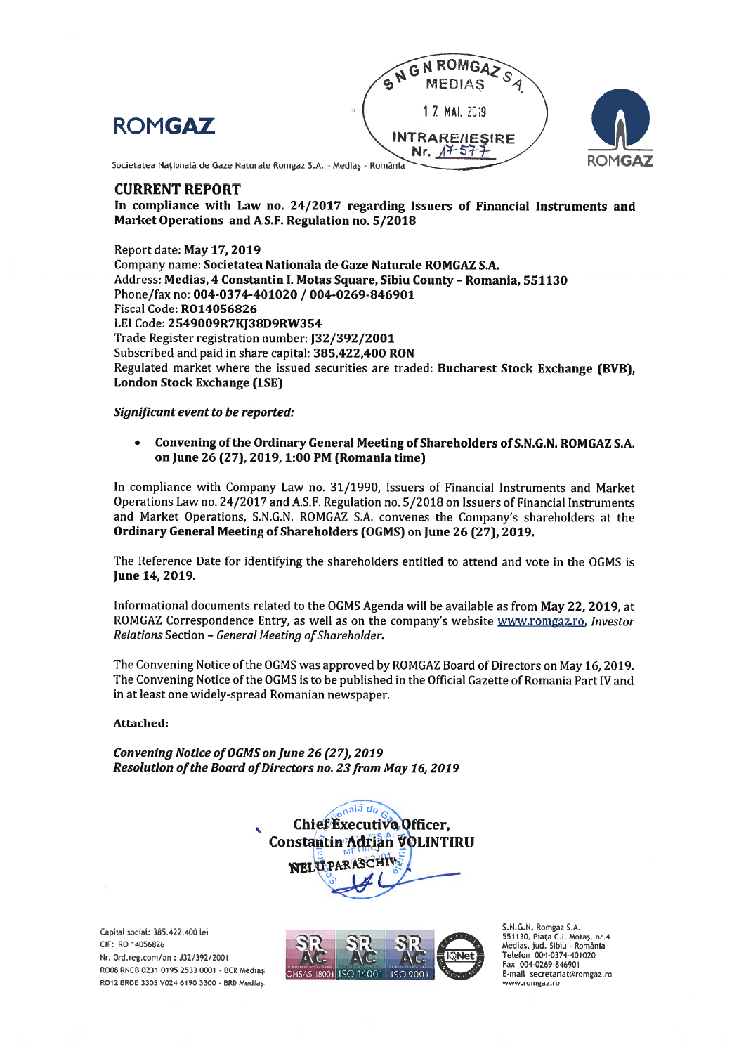# ROMGAZ





Societatea Naţionaă de Gaze Naturale Romgaz S.A. - Medias - România

# CURRENT REPORT

In compliance with Law no. 24/2017 regarding Issuers of Financiai Instruments and Market Operations and A.S.F. Regulation no. 5/2018

Report date: May 17, 2019 Company name: Societatea Nationala de Gaze Naturale ROMGAZ S.A. Address: Medias, 4 Constantin I. Motas Square, Sibiu County - Romania, 551130 Phone/fax no: 004-0374-401020 / 004-0269-846901 Fiscal Code: R014056826 LEI Code: 2549009R7KJ38D9RW354 Trade Register registration number: J32/392/2001 Subscribed and paid in share capital: 385,422,400 RON Regulated market where the issued securities are traded: Bucharest Stock Exchange (BVB), London Stock Exchange (LSE)

# Significant event to be reported:

#### Convening of the Ordinary General Meeting of Shareholders of S.N.G.N. ROMGAZ S.A.  $\bullet$ on June 26 (27), 2019, 1:00 PM (Romania time)

In compliance with Company Law no. 31/1990, Issuers of Financial Instruments and Market Operations Law no. 24/2017 and A.S.F. Regulation no. 5/2018 on Issuers of Financial Instruments and Market Operations, S.N.G.N. ROMGAZ S.A. convenes the Company's shareholders at the Ordinary General Meeting of Shareholders (OGMS) on June 26 (27), 2019.

The Reference Date for identifying the shareholders entitled to attend and vote in the OGMS is June 14, 2019.

Informational documents related to the OGMS Agenda will be available as from May 22, 2019, at ROMGAZ Correspondence Entry, as well as on the company's website www.romgaz.ro, Investor Relations Section - General Meeting of Shareholder.

The Convening Notice of the OGMS was approved by ROMGAZ Board of Directors on May 16, 2019. The Convening Notice of the OGMS is to be published in the Official Gazette of Romania Part IV and in at Ieast one widely-spread Romanian newspaper.

# Attached:

Convening Notice of OGMS on June 26 (27), 2019 Resolution of the Board of Directors no. 23 from May 16, 2019

> $n$ ala do Chief Executive Officer, Constantin Adrian VOLINTIRU .:: NELU PARASCHIV

Capitai social: 385.422.400 Lei CIF: RO 14056826 Nr. Ord.reg.com/an : J32/392/2001 R008 RNCB 0231 0195 2533 0001 . BCR Mediaş R012 BRDE 330s V024 6190 3300 - BRD Medias



S.N.G.N. Romgaz S.A. 551130, Piața C.I. Motaș, nr.4<br>Mediaș, jud. Sibiu - România<br>Telefon 004-0374-401020 Fax 004-0269-846901 E-maii secretariat®romgaz.ro ww.romgaz.ro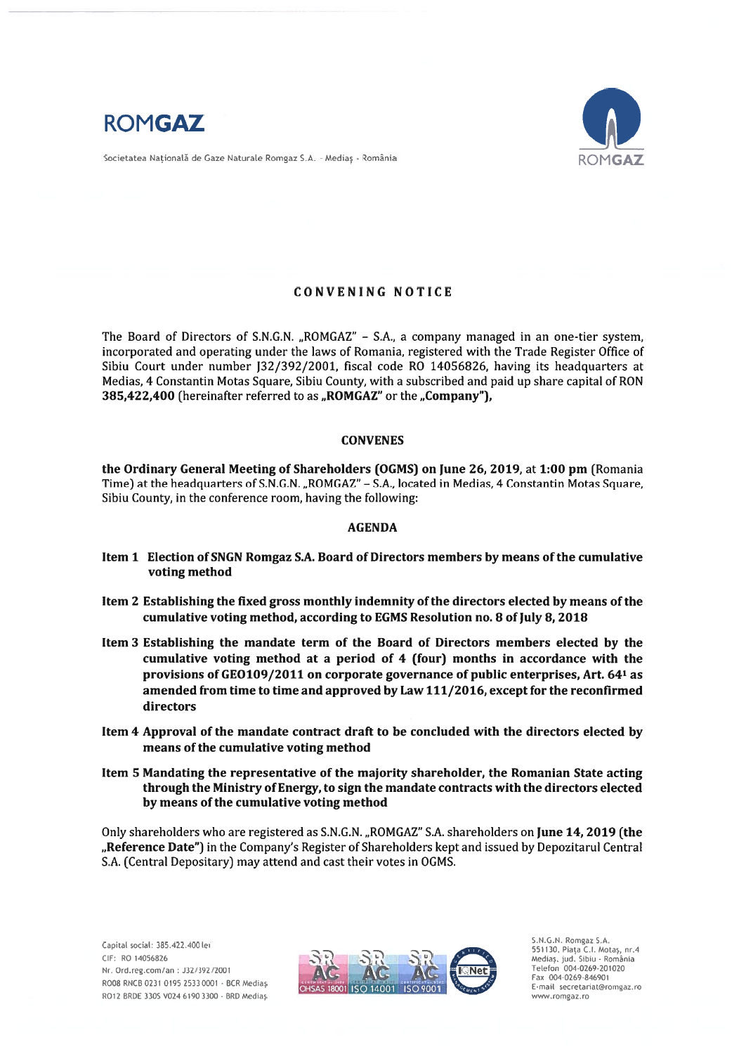

Societatea Națională de Gaze Naturale Romgaz S.A. - Mediaș - România



# CONVENING NOTICE

The Board of Directors of S.N.G.N. "ROMGAZ" – S.A., a company managed in an one-tier system, incorporated and operating under the laws of Romania, registered with the Trade Register Office of Sibiu Court under number J32/392/2001, fiscal code RO 14056826, having its headquarters at Medias, 4 Constantin Motas Square, Sibiu County, with <sup>a</sup> subscribed and paid up share capital of RON 385,422,400 (hereinafter referred to as "ROMGAZ" or the "Company"),

### CONVENES

the Ordinary General Meeting of Shareholders (OGMS) on June 26, 2019, at 1:00 pm (Romania Time) at the headquarters of S.N.G.N. "ROMGAZ" - S.A., located in Medias, 4 Constantin Motas Square, Sibiu County, in the conference room, having the following:

### AGENDA

- Item 1 Election of SNGN Romgaz S.A. Board of Directors members by means of the cumulative voting method
- Item 2 Establishing the fixed gross monthly indemnity of the directors elected by means of the cumulative voting method, according to EGMS Resolution no. 8 ofjuly 8, 2018
- Item 3 Establishing the mandate term of the Board of Directors members elected by the cumulative voting method at <sup>a</sup> period of 4 (four) months in accordance with the provisions of GEO1O9/2011 on corporate governance of public enterprises, Art. <sup>641</sup> as amended from time to time and approved by Law 111/2016, excep<sup>t</sup> for the reconfirmed directors
- Item 4 Approval of the mandate contract draft to be concluded with the directors elected by means of the cumulative voting method
- Item 5 Mandating the representative of the majority shareholder, the Romanian State acting through the Ministry ofEnergy, to sign the mandate contracts with the directors elected by means of the cumulative voting method

Only shareholders who are registered as S.N.G.N. "ROMGAZ" S.A. shareholders on June 14, 2019 (the "Reference Date") in the Company's Register of Shareholders kept and issued by Depozitarul Central S.A. (Central Depositary) may attend and cast their votes in OGMS.



S.N.G.N. Romgaz S.A. 551130, Piata C.I. Motas, nr.4 Mediaș. jud. Sibiu - România Telefon 0040269-201020 Fax 004-0269-846901 E-mail secretariat@romgaz.ro www . romgaz . ro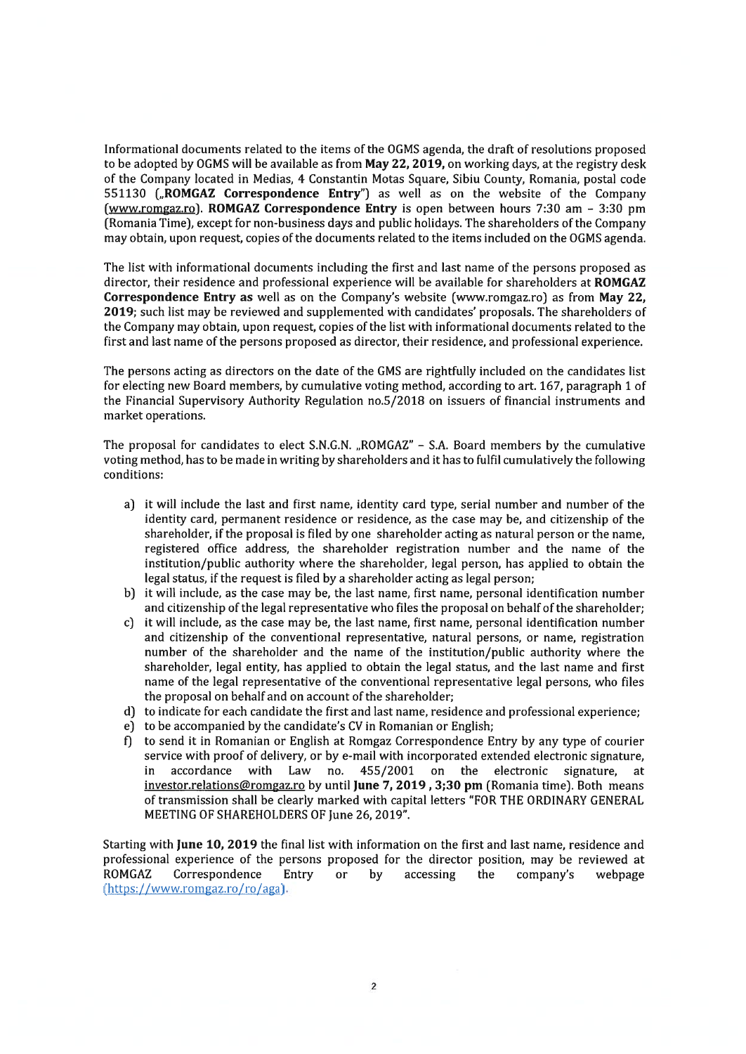Informational documents related to the items ofthe OGMS agenda, the draft ofresolutions proposed to be adopted by OGMS will be available as from May 22, 2019, on working days, at the registry desk of the Company located in Medias, 4 Constantin Motas Square, Sibiu County, Romania, postal code 551130 ("ROMGAZ Correspondence Entry") as well as on the website of the Company (www.romgaz.ro). ROMGAZ Correspondence Entry is open between hours 7:30 am -3:30 pm (Romania Time), except for non-business days and public holidays. The shareholders of the Company may obtain, upon request, copies of the documents related to the items included on the OGMS agenda.

The list with informational documents including the first and last name of the persons proposed as director, their residence and professional experience will be available for shareholders at **ROMGAZ** Correspondence Entry as weIl as on the Company's website (www.romgaz.ro) as from May 22, 2019; such Iist may be reviewed and supplemented with candidates' proposals. The shareholders of the Company may obtain, upon request, copies of the list with informational documents related to the first and last name of the persons proposed as director, their residence, and professional experience.

The persons acting as directors on the date of the GMS are rightfully included on the candidates list for electing new Board members, by cumulative voting method, according to art. 167, paragraph 1 of the Financial Supervisory Authority Regulation no.5/2018 on issuers of financial instruments and market operations.

The proposal for candidates to elect S.N.G.N. "ROMGAZ" - S.A. Board members by the cumulative voting method, has to be made in writing by shareholders and it has to fulfil cumulatively the following conditions:

- a) it wiII include the last and first name, identity card type, serial number and number of the identity card, permanen<sup>t</sup> residence or residence, as the case may be, and citizenship of the shareholder, if the proposal is filed by one shareholder acting as natural person or the name, registered office address, the shareholder registration number and the name of the institution/public authority where the shareholder, legal person, has applied to obtain the legal status, if the reques<sup>t</sup> is filed by <sup>a</sup> shareholder acting as legal person;
- b) it wiII include, as the case may be, the Iast name, first name, personal identification number and citizenship of the legal representative who files the proposal on behalf of the shareholder;
- c) it wilI include, as the case may be, the Iast name, first name, personal identification number and citizenship of the conventional representative, natural persons, or name, registration number of the shareholder and the name of the institution/public authority where the shareholder, legal entity, has applied to obtain the Iegal status, and the last name and first name of the Iegal representative of the conventional representative Iegal persons, who files the proposal on behalf and on account of the shareholder;
- d) to indicate for each candidate the first and last name, residence and professional experience;
- e) to be accompanied by the candidate's CV in Romanian or English;
- f) to send it in Romanian or English at Romgaz Correspondence Entry by any type of courier service with proof of delivery, or by e-mail with incorporated extended electronic signature, in accordance with Law no. 455/2001 on the electronic signature, at investor.relations@romgaz.ro by until June 7, 2019, 3;30 pm (Romania time). Both means of transmission shall be clearly marked with capital letters "FOR THE ORDINARY GENERAL MEETING OF SHAREHOLDERS OF June 26, 2019".

Starting with June 10, 2019 the final list with information on the first and last name, residence and professional experience of the persons proposed for the director position, may be reviewed at ROMGAZ Correspondence Entry or by accessing the company's webpage  $(htts://www.romgaz.ro/ro/aga).$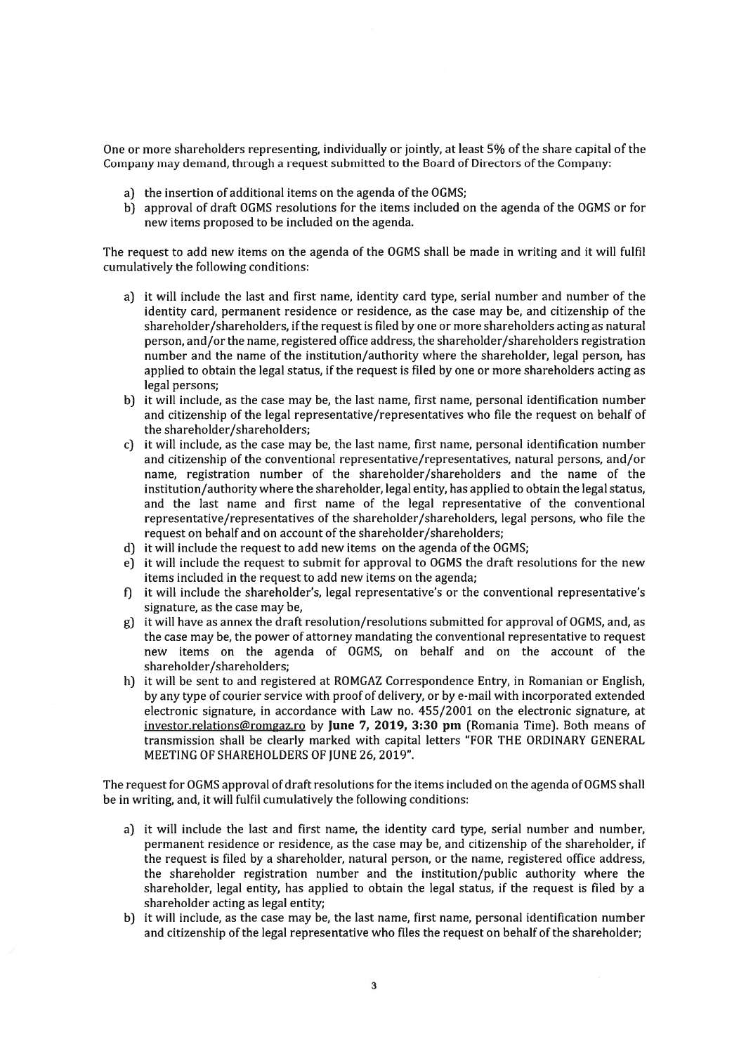One or more shareholders representing, individually or jointly, at least 5% of the share capital of the Company may demand, through <sup>a</sup> reques<sup>t</sup> submitted to the Board of Directors of the Company:

- a) the insertion of additional items on the agenda of the OGMS;
- b) approval of draft OGMS resolutions for the items included on the agenda of the OGMS or for new items proposed to be included on the agenda.

The reques<sup>t</sup> to add new items on the agenda of the OGMS shall be made in writing and it wiIl fulfil cumulatively the following conditions:

- a) it wiIl include the Iast and first name, identity card type, serial number and number of the identity card, permanen<sup>t</sup> residence or residence, as the case may be, and citizenship of the shareholder/shareholders, ifthe reques<sup>t</sup> is filed by one or more shareholders acting as natural person, and/or the name, registered office address, the shareholder/shareholders registration number and the name of the institution/authority where the shareholder, legal person, has applied to obtain the legal status, if the request is filed by one or more shareholders acting as legal persons;
- b) it will include, as the case may be, the last name, first name, personal identification number and citizenship of the legal representative/representatives who file the reques<sup>t</sup> on behalf of the shareholder/shareholders;
- c) it wilI include, as the case may be, the last name, first name, personal identification number and citizenship of the conventional representative/representatives, natural persons, and/or name, registration number of the shareholder/shareholders and the name of the institution/authority where the shareholder, legal entity, has applied to obtain the Iegal status, and the Iast name and first name of the legal representative of the conventional representative/representatives of the shareholder/shareholders, legal persons, who file the request on behalf and on account of the shareholder/shareholders;
- d) it will include the reques<sup>t</sup> to add new items on the agenda ofthe OGMS;
- e) it will include the reques<sup>t</sup> to submit for approval to OGMS the draft resolutions for the new items included in the reques<sup>t</sup> to add new items on the agenda;
- f) it will include the shareholder's, legal representative's or the conventional representative's signature, as the case may be,
- g) it will have as annex the draft resolution/resolutions submitted for approval of OGMS, and, as the case may be, the power of attorney mandating the conventional representative to request new items on the agenda of OGMS, on behalf and on the account of the shareholder/shareholders;
- h) it wiIl be sent to and registered at ROMGAZ Correspondence Entry, in Romanian or English, by any type of courier service with proof of delivery, or by e-mail with incorporated extended electronic signature, in accordance with Law no. 455/2001 on the electronic signature, at investor.relations@romgaz.ro by June 7, 2019, 3:30 pm (Romania Time). Both means of transmission shall be clearly marked with capital letters "FOR THE ORDINARY GENERAL MEETING OF SHAREHOLDERS OF JUNE 26, 2019".

The request for OGMS approval of draft resolutions for the items included on the agenda of OGMS shall be in writing, and, it wilI fulfil cumulatively the following conditions:

- a) it will include the last and first name, the identity card type, serial number and number, permanen<sup>t</sup> residence or residence, as the case may be, and citizenship of the shareholder, if the reques<sup>t</sup> is filed by <sup>a</sup> shareholder, natural person, or the name, registered office address, the shareholder registration number and the institution/public authority where the shareholder, legal entity, has applied to obtain the Iegal status, if the reques<sup>t</sup> is filed by <sup>a</sup> shareholder acting as legal entity;
- b) it will include, as the case may be, the last name, first name, personal identification number and citizenship of the legal representative who files the request on behalf of the shareholder;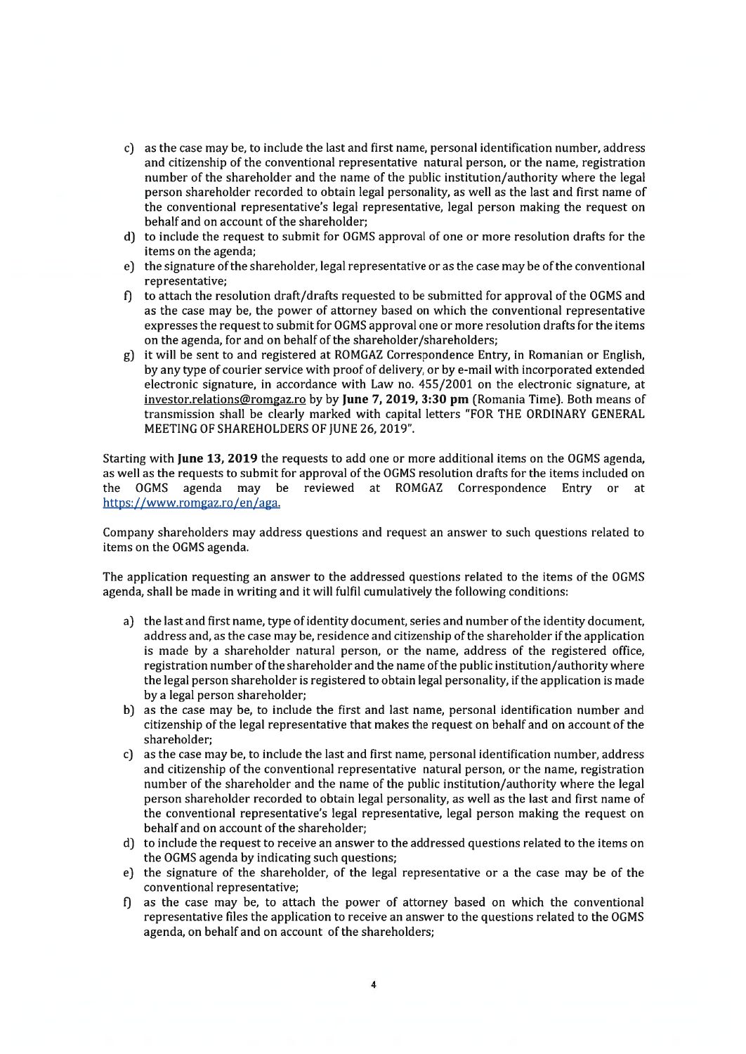- c) as the case may be, to include the last and first name, personal identification number, address and citizenship of the conventional representative natural person, or the name, registration number of the shareholder and the name of the public institution/authority where the legal person shareholder recorded to obtain legal personality, as well as the last and first name of the conventional representative's Iegal representative, legal person making the reques<sup>t</sup> on behalf and on account of the shareholder;
- d) to include the reques<sup>t</sup> to submit for OGMS approval of one or more resolution drafts for the items on the agenda;
- e) the signature of the shareholder, legal representative or as the case may be of the conventional representative;
- f) to attach the resolution draft/drafts requested to be submitted for approval of the OGMS and as the case may be, the power of attorney based on which the conventional representative expresses the reques<sup>t</sup> to submit for OGMS approval one or more resolution drafts for the items on the agenda, for and on behalf of the shareholder/shareholders;
- g) it will be sent to and registered at ROMGAZ Correspondence Entry, in Romanian or English, by any type of courier service with proof of delivery, or by e-mail with incorporated extended electronic signature, in accordance with Law no. 455/2001 on the electronic signature, at investor.relations@romgaz.ro by by June 7, 2019, 3:30 pm (Romania Time). Both means of transmission shall be clearly marked with capital Ietters "FOR THE ORDINARY GENERAL MEETING OF SHAREHOLDERS OF JUNE 26, 2019".

Starting with June 13, 2019 the requests to add one or more additional items on the OGMS agenda, as well as the requests to submit for approval of the OGMS resolution drafts for the items included on the OGMS agenda may be reviewed at ROMGAZ Correspondence Entry or at https://www.romgaz.ro/en/aga.

Company shareholders may address questions and reques<sup>t</sup> an answer to such questions reiated to items on the OGMS agenda.

The application requesting an answer to the addressed questions related to the items of the OGMS agenda, shall be made in writing and it will fulfil cumulatively the following conditions:

- a) the last and first name, type of identity document, series and number of the identity document, address and, as the case may be, residence and citizenship of the shareholder if the application is made by <sup>a</sup> shareholder natural person, or the name, address of the registered office, registration number ofthe shareholder and the name ofthe public institution/authority where the legal person shareholder is registered to obtain legal personality, ifthe application is made by <sup>a</sup> legal person shareholder;
- b) as the case may be, to include the first and last name, personal identification number and citizenship of the legal representative that makes the reques<sup>t</sup> on behalf and on account of the shareholder;
- c) as the case may be, to include the last and first name, personal identification number, address and citizenship of the conventional representative natural person, or the name, registration number of the shareholder and the name of the public institution/authority where the legal person shareholder recorded to obtain legal personality, as welI as the last and first name of the conventional representative's legal representative, Iegal person making the reques<sup>t</sup> on behalf and on account of the shareholder;
- d) to include the reques<sup>t</sup> to receive an answer to the addressed questions related to the items on the OGMS agenda by indicating such questions;
- e) the signature of the shareholder, of the Iegal representative or <sup>a</sup> the case may be of the conventional representative;
- $f$  as the case may be, to attach the power of attorney based on which the conventional representative files the application to receive an answer to the questions related to the OGMS agenda, on behalf and on account of the shareholders;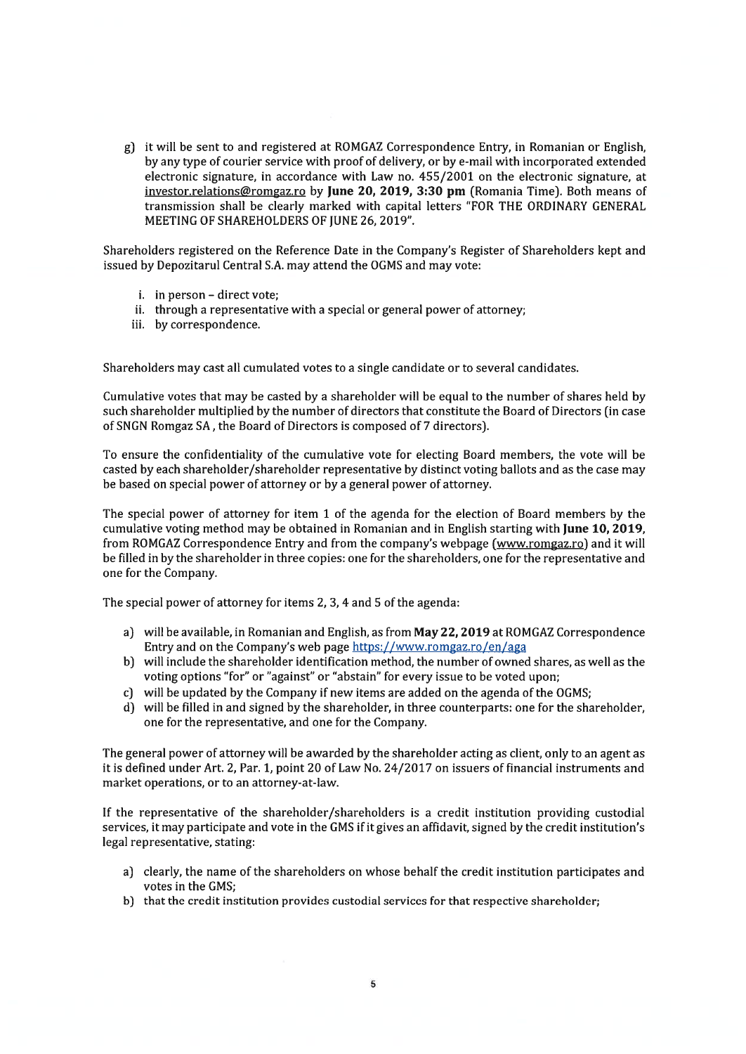g) it wilI be sent to and registered at ROMGAZ Correspondence Entry, in Romanian or English, by any type of courier service with proof of delivery, or by e-mail with incorporated extended electronic signature, in accordance with Law no. 455/2001 on the electronic signature, at investor.relations@romgaz.ro by June 20, 2019, 3:30 pm (Romania Time). Both means of transmission shall be clearly marked with capital letters "FOR THE ORDINARY GENERAL MEETING OF SHAREHOLDERS OF JUNE 26, 2019".

Shareholders registered on the Reference Date in the Company's Register of Shareholders kept and issued by Depozitarul Central S.A. may attend the OGMS and may vote:

- i. in person direct vote;
- ii. through <sup>a</sup> representative with <sup>a</sup> special or general power of attorney;
- iii. by correspondence.

Shareholders may cast all cumulated votes to <sup>a</sup> single candidate or to several candidates.

Cumulative votes that may be casted by <sup>a</sup> shareholder will be equal to the number of shares held by such shareholder multiplied by the number of directors that constitute the Board of Directors (in case of SNGN Romgaz SA, the Board of Directors is composed of 7 directors).

To ensure the confidentiality of the cumulative vote for electing Board members, the vote will be casted by each shareholder/shareholder representative by distinct voting ballots and as the case may be based on special power of attorney or by <sup>a</sup> general power of attorney.

The special power of attorney for item 1 of the agenda for the election of Board members by the cumulative voting method may be obtained in Romanian and in English starting with June 10, 2019, from ROMGAZ Correspondence Entry and from the company's webpage (www.romgaz.ro) and it wilI be filled in by the shareholder in three copies: one for the shareholders, one for the representative and one for the Company.

The special power of attorney for items 2, 3, 4 and 5 of the agenda:

- a) will be available, in Romanian and English, as from May 22, 2019 at ROMGAZ Correspondence Entry and on the Company's web page https://www.romgaz.ro/en/aga
- b) will include the shareholder identification method, the number of owned shares, as well as the voting options "for' or "against" or "abstain" for every issue to be voted upon;
- c) will be updated by the Company if new items are added on the agenda of the  $OGMS$ :
- d) wiII be filled in and signed by the shareholder, in three counterparts: one for the shareholder, one for the representative, and one for the Company.

The general power of attorney will be awarded by the shareholder acting as client, only to an agen<sup>t</sup> as it is defined under Art. 2, Par. 1, point 20 of Law No. 24/2017 on issuers of financial instruments and market operations, or to an attorney-at-law.

If the representative of the shareholder/shareholders is <sup>a</sup> credit institution providing custodial services, it may participate and vote in the GMS if it gives an affidavit, signed by the credit institution's legal representative, stating:

- a) clearly, the name of the shareholders on whose behalf the credit institution participates and votes in the GMS;
- b) that the credit institution provides custodial services for that respective shareholder;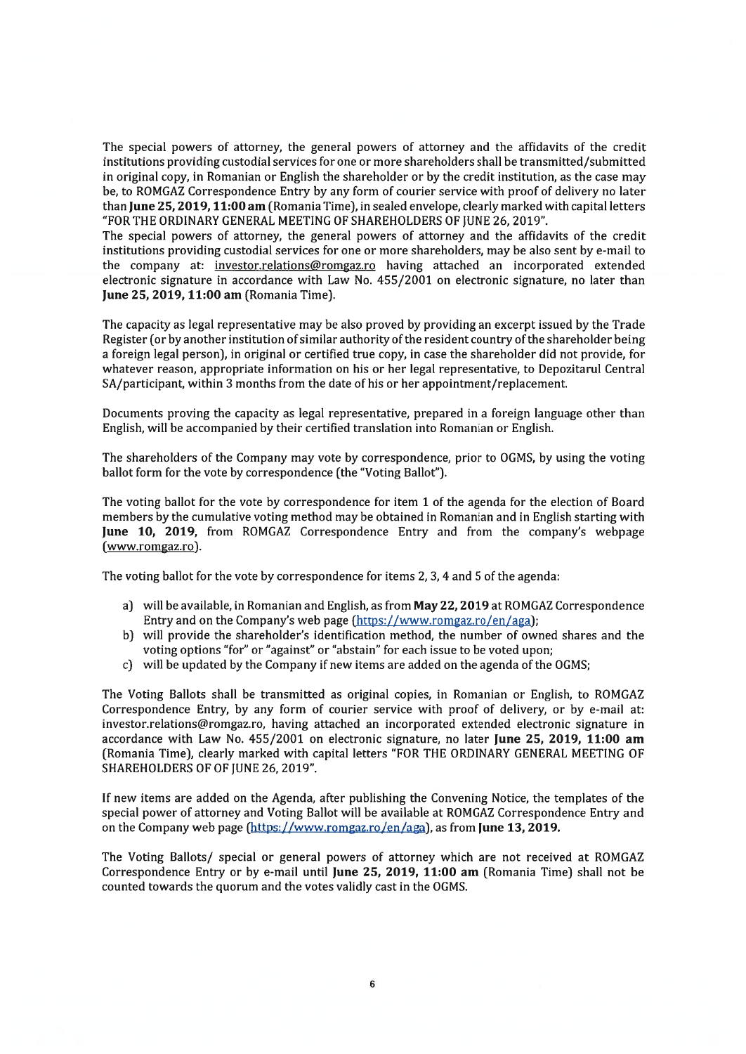The special powers of attorney, the general powers of attorney and the affidavits of the credit institutions providing custodial services for one or more shareholders shall be transmitted/submitted in original copy, in Romanian or English the shareholder or by the credit institution, as the case may be, to ROMGAZ Correspondence Entry by any form of courier service with proof of delivery no later than June 25, 2019, 11:00 am (Romania Time), in sealed envelope, clearly marked with capital letters "FOR THE ORDINARY GENERAL MEETING OF SHAREHOLDERS OF JUNE 26, 2019".

The special powers of attorney, the general powers of attorney and the affidavits of the credit institutions providing custodiai services for one or more shareholders, may be also sent by e-mail to the company at: investor.relations@romgaz.ro having attached an incorporated extended electronic signature in accordance with Law No. 455/2001 on electronic signature, no later than June 25, 2019, 11:00 am (Romania Time).

The capacity as legal representative may be also proved by providing an excerp<sup>t</sup> issued by the Trade Register (or by another institution of similar authority of the resident country of the shareholder being <sup>a</sup> foreign legal person), in original or certified true copy, in case the shareholder did not provide, for whatever reason, appropriate information on his or her Iegal representative, to Depozitarul Central SA/participant, within 3 months from the date of his or her appointment/replacement.

Documents proving the capacity as legal representative, prepared in <sup>a</sup> foreign language other than English, will be accompanied by their certified translation into Romanian or English.

The shareholders of the Company may vote by correspondence, prior to OGMS, by using the voting ballot form for the vote by correspondence (the "Voting BalIot").

The voting ballot for the vote by correspondence for item 1 of the agenda for the election of Board members by the cumulative voting method may be obtained in Romanian and in English starting with June 10, 2019, from ROMGAZ Correspondence Entry and from the company's webpage (www.romgaz.ro).

The voting ballot for the vote by correspondence for items 2, 3, 4 and 5 ofthe agenda:

- a) wiIl be available, in Romanian and English, as from May 22, 2019 at ROMGAZ Correspondence Entry and on the Company's web page (https://www.romgaz.ro/en/aga);
- b) wiIl provide the shareholder's identification method, the number of owned shares and the voting options "for" or "against" or "abstain" for each issue to be voted upon;
- c) wilI be updated by the Company if new items are added on the agenda of the OGMS;

The Voting Ballots shall be transmitted as original copies, in Romanian or English, to ROMGAZ Correspondence Entry, by any form of courier service with proof of delivery, or by e-mail at: investor.relations@romgaz.ro, having attached an incorporated extended electronic signature in accordance with Law No. 455/2001 on electronic signature, no later June 25, 2019, 11:00 am (Romania Time), clearly marked with capital letters "FOR THE ORDINARY GENERAL MEETING OF SHAREHOLDERS OF OF JUNE 26, 2019".

If new items are added on the Agenda, after publishing the Convening Notice, the templates of the special power of attorney and Voting BaIlot will be available at ROMGAZ Correspondence Entry and on the Company web page (https://www.romgaz.ro/en/aga), as from June 13, 2019.

The Voting Ballots/ special or general powers of attorney which are not received at ROMGAZ Correspondence Entry or by e-mail until June 25, 2019, 11:00 am (Romania Time) shall not be counted towards the quorum and the votes validly cast in the OGMS.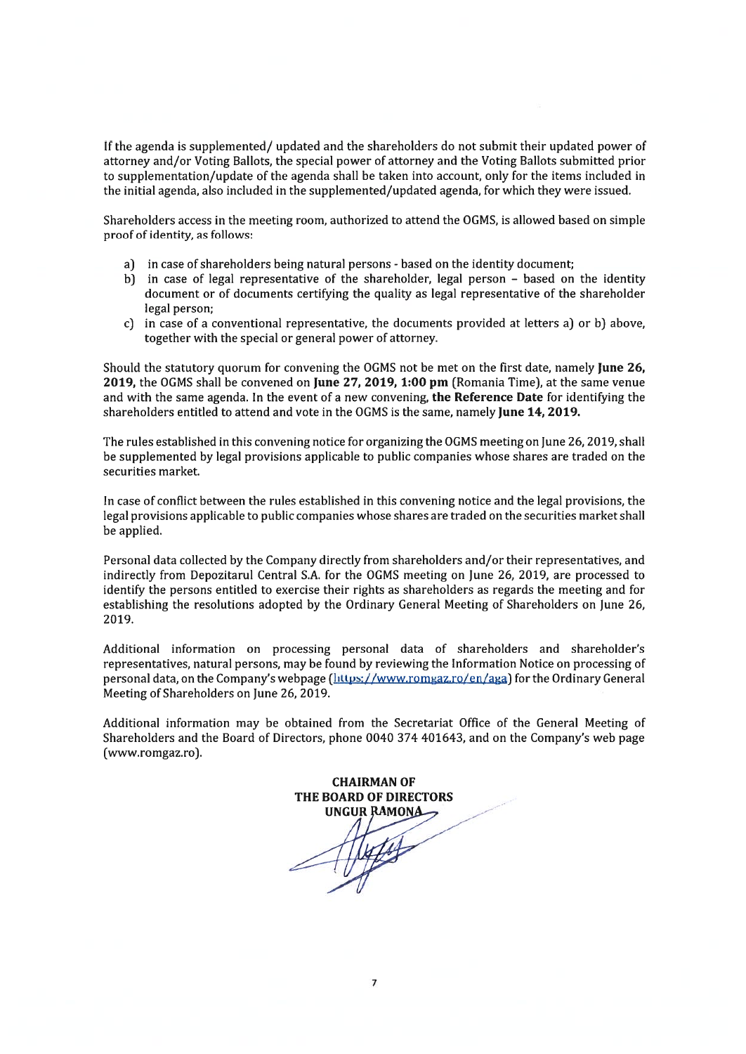Ifthe agenda is supplemented/ updated and the shareholders do not submit their updated power of attorney and/or Voting Ballots, the special power of attorney and the Voting Ballots submitted prior to supplementation/update of the agenda shall be taken into account, only for the items included in the initial agenda, also included in the supplemented/updated agenda, for which they were issued.

Shareholders access in the meeting room, authorized to attend the OGMS, is allowed based on simple proof of identity, as follows:

- a) in case of shareholders being natural persons based on the identity document;
- b) in case of legal representative of the shareholder, legal person based on the identity document or of documents certifying the quality as legal representative of the shareholder legal person;
- c) in case of <sup>a</sup> conventional representative, the documents provided at Ietters a) or b) above, together with the special or general power of attorney.

Should the statutory quorum for convening the OGMS not be met on the first date, namely June 26, 2019, the OGMS shall be convened on June 27, 2019, 1:00 pm (Romania Time), at the same venue and with the same agenda. In the event of <sup>a</sup> new convening, the Reference Date for identifying the shareholders entitled to attend and vote in the OGMS is the same, namely June 14, 2019.

The rules established in this convening notice for organizing the OGMS meeting on June 26, 2019, shall be supplemented by legal provisions applicable to public companies whose shares are traded on the securities market.

In case of conflict between the rules established in this convening notice and the legal provisions, the legal provisions applicable to public companies whose shares are traded on the securities market shall be applied.

Personal data collected by the Company directly from shareholders and/or their representatives, and indirectly from Depozitarul Central S.A. for the OGMS meeting on June 26, 2019, are processed to identify the persons entitled to exercise their rights as shareholders as regards the meeting and for establishing the resolutions adopted by the Ordinary General Meeting of Shareholders on June 26, 2019.

Additional information on processing personal data of shareholders and shareholder's representatives, natural persons, may be found by reviewing the Information Notice on processing of personal data, on the Company's webpage (https://www.romgaz.ro/en/aga) for the Ordinary General Meeting of Shareholders on June 26, 2019.

Additional information may be obtained from the Secretariat Office of the General Meeting of Shareholders and the Board of Directors, phone 0040 374 401643, and on the Company's web page (www.romgaz.ro).

CHAIRMAN OF THE BOARD OF DIRECTORS **UNGUR RAMONA**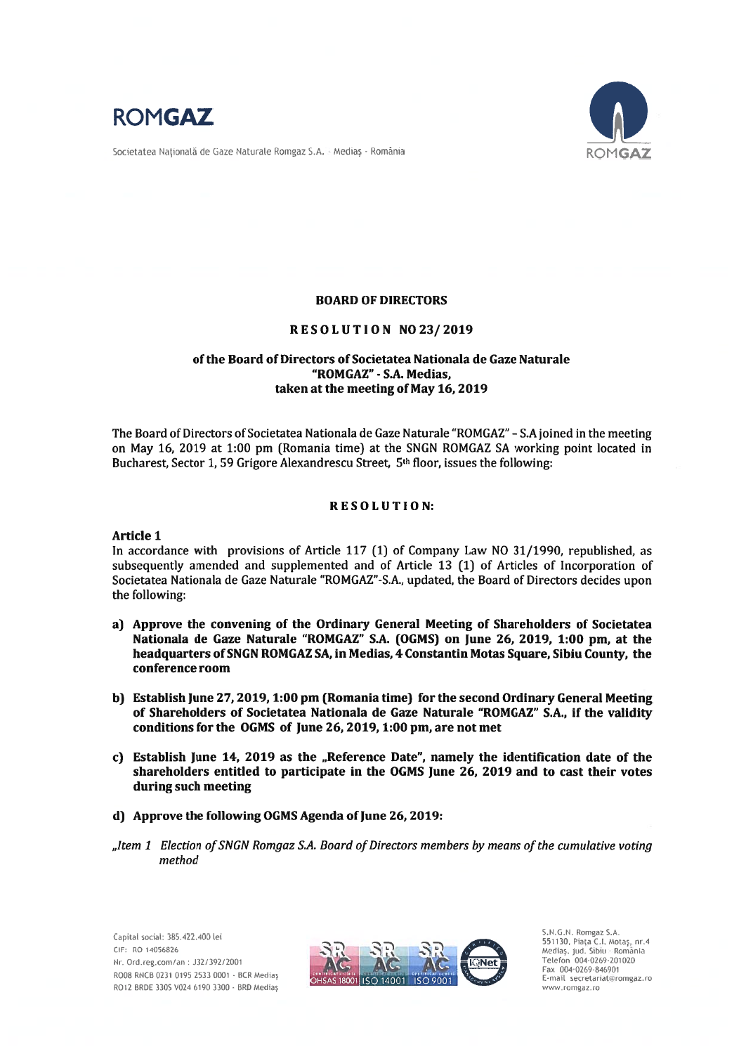

Societatea Națională de Gaze Naturale Romgaz S.A. - Mediaș - România



# BOARD OF DIRECTORS

#### RESOLUTION N023/2019

# of the Board of Directors of Societatea Nationala de Gaze Naturale "ROMGAZ" - S.A. Medias, taken at the meeting of May 16, 2019

The Board of Directors of Societatea Nationala de Gaze Naturale "ROMGAZ" - S.A joined in the meeting on May 16, 2019 at 1:00 pm (Romania time) at the SNGN ROMGAZ SA working point located in Bucharest, Sector 1, 59 Grigore Alexandrescu Street, 5<sup>th</sup> floor, issues the following:

### R E S O L U T I O N:

Article 1

ln accordance with provisions of Article 117 (1) of Company Law NO 31/1990, republished, as subsequently amended and supplemented and of Article 13 (1) of Articles of Incorporation of Societatea Nationala de Gaze Naturale "ROMGAZ"-S.A., updated, the Board of Directors decides upon the following:

- a) Approve the convening of the Ordinary General Meeting of Shareholders of Societatea Nationala de Gaze Naturale "ROMGAZ" S.A. (OGMS) on June 26, 2019, 1:00 pm, at the headquarters ofSNGN ROMGAZ SA, in Medias, 4 Constantin Motas Square, Sibiu County, the conference room
- b) Establish June 27, 2019, 1:00 pm (Romania time) for the second Ordinary General Meeting of Shareholders of Societatea Nationala de Gaze Naturale "ROMGAZ" S.A., if the validity conditions for the OGMS of June 26, 2019, 1:00 pm, are not met
- c) Establish June 14, 2019 as the "Reference Date", namely the identification date of the shareholders entitled to participate in the OGMS June 26, 2019 and to cast their votes during such meeting
- d) Approve the following OGMS Agenda of June 26, 2019:
- "Item 1 Election of SNGN Romgaz S.A. Board of Directors members by means of the cumulative voting method



S.N.G.N. Romgaz S.A. 551130, Píata C.I. Motas, nr.4 Mediaș, jud. Sibiu - România<br>Telefon 004-0269-201020 Fax 004-0269-846901 E-mail secretariat@romgaz.ro www.romgaz.ro